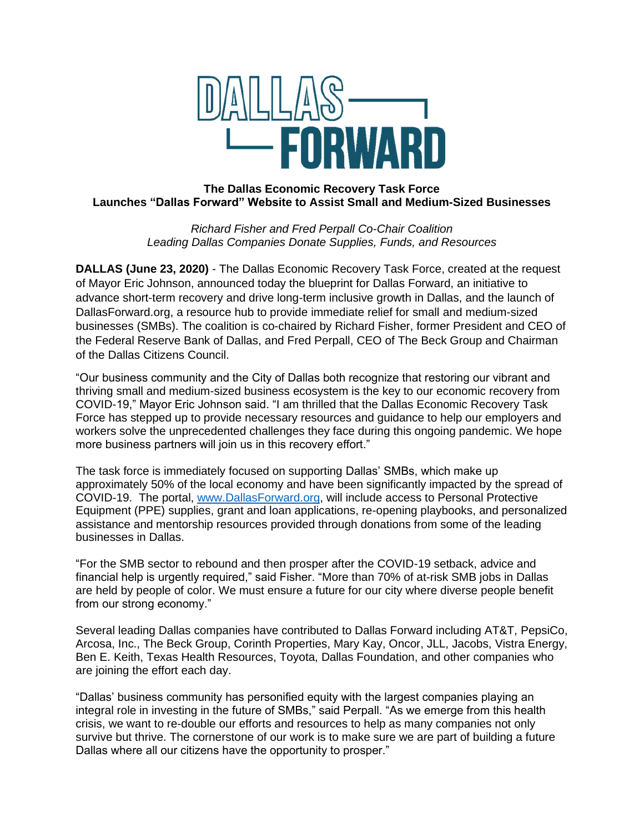

# **The Dallas Economic Recovery Task Force Launches "Dallas Forward" Website to Assist Small and Medium-Sized Businesses**

*Richard Fisher and Fred Perpall Co-Chair Coalition Leading Dallas Companies Donate Supplies, Funds, and Resources* 

**DALLAS (June 23, 2020)** - The Dallas Economic Recovery Task Force, created at the request of Mayor Eric Johnson, announced today the blueprint for Dallas Forward, an initiative to advance short-term recovery and drive long-term inclusive growth in Dallas, and the launch of DallasForward.org, a resource hub to provide immediate relief for small and medium-sized businesses (SMBs). The coalition is co-chaired by Richard Fisher, former President and CEO of the Federal Reserve Bank of Dallas, and Fred Perpall, CEO of The Beck Group and Chairman of the Dallas Citizens Council.

"Our business community and the City of Dallas both recognize that restoring our vibrant and thriving small and medium-sized business ecosystem is the key to our economic recovery from COVID-19," Mayor Eric Johnson said. "I am thrilled that the Dallas Economic Recovery Task Force has stepped up to provide necessary resources and guidance to help our employers and workers solve the unprecedented challenges they face during this ongoing pandemic. We hope more business partners will join us in this recovery effort."

The task force is immediately focused on supporting Dallas' SMBs, which make up approximately 50% of the local economy and have been significantly impacted by the spread of COVID-19. The portal, [www.DallasForward.org,](file:///C:/Users/Sarah/AppData/Local/Microsoft/Windows/INetCache/Content.Outlook/9TP5UWGJ/www.DallasForward.org) will include access to Personal Protective Equipment (PPE) supplies, grant and loan applications, re-opening playbooks, and personalized assistance and mentorship resources provided through donations from some of the leading businesses in Dallas.

"For the SMB sector to rebound and then prosper after the COVID-19 setback, advice and financial help is urgently required," said Fisher. "More than 70% of at-risk SMB jobs in Dallas are held by people of color. We must ensure a future for our city where diverse people benefit from our strong economy."

Several leading Dallas companies have contributed to Dallas Forward including AT&T, PepsiCo, Arcosa, Inc., The Beck Group, Corinth Properties, Mary Kay, Oncor, JLL, Jacobs, Vistra Energy, Ben E. Keith, Texas Health Resources, Toyota, Dallas Foundation, and other companies who are joining the effort each day.

"Dallas' business community has personified equity with the largest companies playing an integral role in investing in the future of SMBs," said Perpall. "As we emerge from this health crisis, we want to re-double our efforts and resources to help as many companies not only survive but thrive. The cornerstone of our work is to make sure we are part of building a future Dallas where all our citizens have the opportunity to prosper."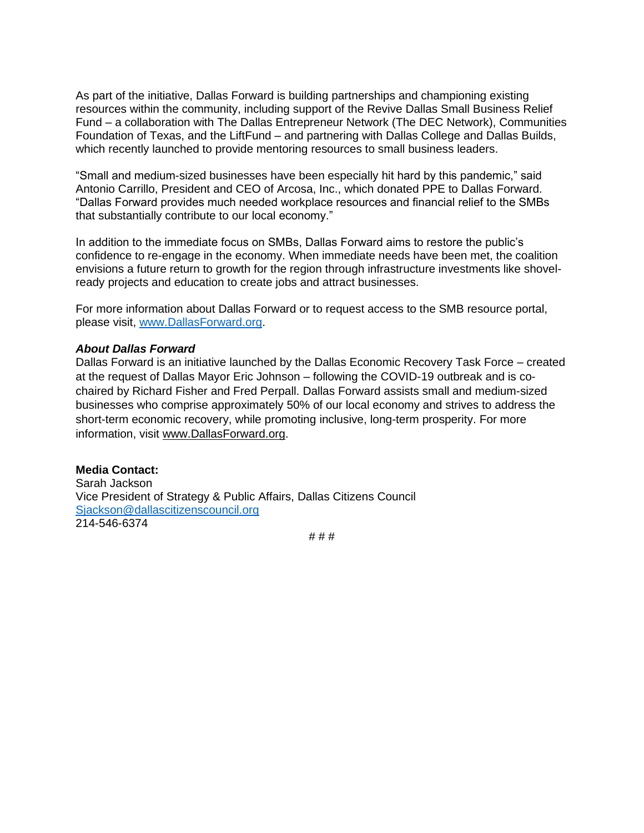As part of the initiative, Dallas Forward is building partnerships and championing existing resources within the community, including support of the Revive Dallas Small Business Relief Fund – a collaboration with The Dallas Entrepreneur Network (The DEC Network), Communities Foundation of Texas, and the LiftFund – and partnering with Dallas College and Dallas Builds, which recently launched to provide mentoring resources to small business leaders.

"Small and medium-sized businesses have been especially hit hard by this pandemic," said Antonio Carrillo, President and CEO of Arcosa, Inc., which donated PPE to Dallas Forward. "Dallas Forward provides much needed workplace resources and financial relief to the SMBs that substantially contribute to our local economy."

In addition to the immediate focus on SMBs, Dallas Forward aims to restore the public's confidence to re-engage in the economy. When immediate needs have been met, the coalition envisions a future return to growth for the region through infrastructure investments like shovelready projects and education to create jobs and attract businesses.

For more information about Dallas Forward or to request access to the SMB resource portal, please visit, [www.DallasForward.org.](file:///C:/Users/Sarah/AppData/Local/Microsoft/Windows/INetCache/Content.Outlook/9TP5UWGJ/www.DallasForward.org)

### *About Dallas Forward*

Dallas Forward is an initiative launched by the Dallas Economic Recovery Task Force – created at the request of Dallas Mayor Eric Johnson – following the COVID-19 outbreak and is cochaired by Richard Fisher and Fred Perpall. Dallas Forward assists small and medium-sized businesses who comprise approximately 50% of our local economy and strives to address the short-term economic recovery, while promoting inclusive, long-term prosperity. For more information, visit [www.DallasForward.org.](http://www.dallasforward.org/)

**Media Contact:** Sarah Jackson Vice President of Strategy & Public Affairs, Dallas Citizens Council [Sjackson@dallascitizenscouncil.org](mailto:Sjackson@dallascitizenscouncil.org) 214-546-6374

# # #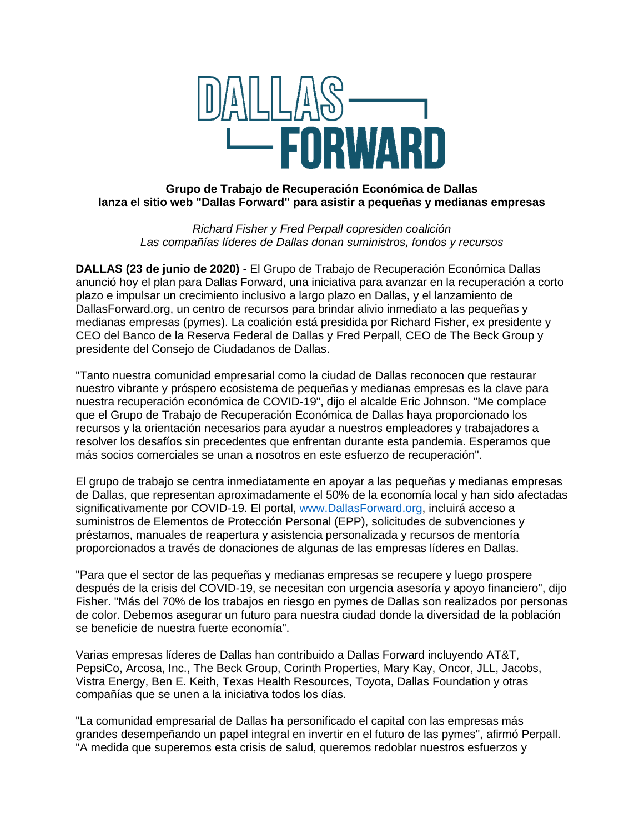

# **Grupo de Trabajo de Recuperación Económica de Dallas lanza el sitio web "Dallas Forward" para asistir a pequeñas y medianas empresas**

*Richard Fisher y Fred Perpall copresiden coalición Las compañías líderes de Dallas donan suministros, fondos y recursos*

**DALLAS (23 de junio de 2020)** - El Grupo de Trabajo de Recuperación Económica Dallas anunció hoy el plan para Dallas Forward, una iniciativa para avanzar en la recuperación a corto plazo e impulsar un crecimiento inclusivo a largo plazo en Dallas, y el lanzamiento de DallasForward.org, un centro de recursos para brindar alivio inmediato a las pequeñas y medianas empresas (pymes). La coalición está presidida por Richard Fisher, ex presidente y CEO del Banco de la Reserva Federal de Dallas y Fred Perpall, CEO de The Beck Group y presidente del Consejo de Ciudadanos de Dallas.

"Tanto nuestra comunidad empresarial como la ciudad de Dallas reconocen que restaurar nuestro vibrante y próspero ecosistema de pequeñas y medianas empresas es la clave para nuestra recuperación económica de COVID-19", dijo el alcalde Eric Johnson. "Me complace que el Grupo de Trabajo de Recuperación Económica de Dallas haya proporcionado los recursos y la orientación necesarios para ayudar a nuestros empleadores y trabajadores a resolver los desafíos sin precedentes que enfrentan durante esta pandemia. Esperamos que más socios comerciales se unan a nosotros en este esfuerzo de recuperación".

El grupo de trabajo se centra inmediatamente en apoyar a las pequeñas y medianas empresas de Dallas, que representan aproximadamente el 50% de la economía local y han sido afectadas significativamente por COVID-19. El portal, [www.DallasForward.org,](file:///C:/Users/Sarah/AppData/Local/Microsoft/Windows/INetCache/Content.Outlook/9TP5UWGJ/www.DallasForward.org) incluirá acceso a suministros de Elementos de Protección Personal (EPP), solicitudes de subvenciones y préstamos, manuales de reapertura y asistencia personalizada y recursos de mentoría proporcionados a través de donaciones de algunas de las empresas líderes en Dallas.

"Para que el sector de las pequeñas y medianas empresas se recupere y luego prospere después de la crisis del COVID-19, se necesitan con urgencia asesoría y apoyo financiero", dijo Fisher. "Más del 70% de los trabajos en riesgo en pymes de Dallas son realizados por personas de color. Debemos asegurar un futuro para nuestra ciudad donde la diversidad de la población se beneficie de nuestra fuerte economía".

Varias empresas líderes de Dallas han contribuido a Dallas Forward incluyendo AT&T, PepsiCo, Arcosa, Inc., The Beck Group, Corinth Properties, Mary Kay, Oncor, JLL, Jacobs, Vistra Energy, Ben E. Keith, Texas Health Resources, Toyota, Dallas Foundation y otras compañías que se unen a la iniciativa todos los días.

"La comunidad empresarial de Dallas ha personificado el capital con las empresas más grandes desempeñando un papel integral en invertir en el futuro de las pymes", afirmó Perpall. "A medida que superemos esta crisis de salud, queremos redoblar nuestros esfuerzos y